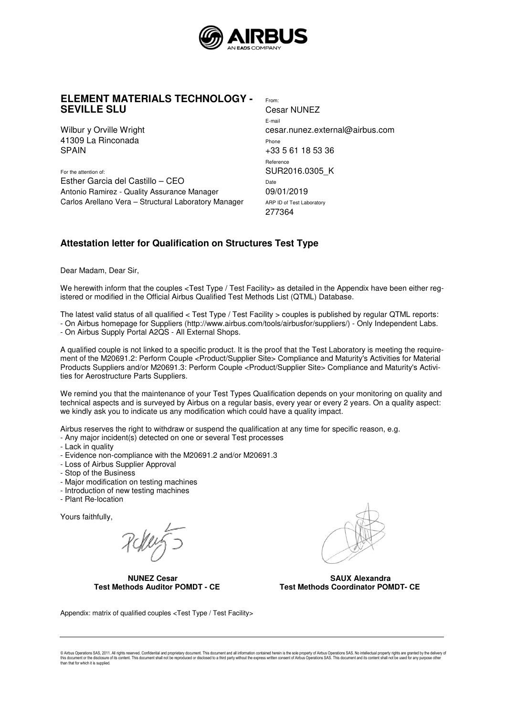

## **ELEMENT MATERIALS TECHNOLOGY - SEVILLE SLU**

Wilbur y Orville Wright 41309 La Rinconada **SPAIN** 

For the attention of: Esther Garcia del Castillo – CEO Antonio Ramirez - Quality Assurance Manager Carlos Arellano Vera – Structural Laboratory Manager From: Cesar NUNEZ E-mail cesar.nunez.external@airbus.com Phone +33 5 61 18 53 36 Reference SUR2016.0305\_K Date 09/01/2019 ARP ID of Test Laboratory 277364

## **Attestation letter for Qualification on Structures Test Type**

Dear Madam, Dear Sir,

We herewith inform that the couples <Test Type / Test Facility> as detailed in the Appendix have been either registered or modified in the Official Airbus Qualified Test Methods List (QTML) Database.

The latest valid status of all qualified < Test Type / Test Facility > couples is published by regular QTML reports: - On Airbus homepage for Suppliers (http://www.airbus.com/tools/airbusfor/suppliers/) - Only Independent Labs. - On Airbus Supply Portal A2QS - All External Shops.

A qualified couple is not linked to a specific product. It is the proof that the Test Laboratory is meeting the requirement of the M20691.2: Perform Couple <Product/Supplier Site> Compliance and Maturity's Activities for Material Products Suppliers and/or M20691.3: Perform Couple <Product/Supplier Site> Compliance and Maturity's Activities for Aerostructure Parts Suppliers.

We remind you that the maintenance of your Test Types Qualification depends on your monitoring on quality and technical aspects and is surveyed by Airbus on a regular basis, every year or every 2 years. On a quality aspect: we kindly ask you to indicate us any modification which could have a quality impact.

Airbus reserves the right to withdraw or suspend the qualification at any time for specific reason, e.g.

- Any major incident(s) detected on one or several Test processes
- Lack in quality
- Evidence non-compliance with the M20691.2 and/or M20691.3
- Loss of Airbus Supplier Approval
- Stop of the Business
- Major modification on testing machines
- Introduction of new testing machines
- Plant Re-location

Yours faithfully,

**NUNEZ Cesar SAUX Alexandra SAUX Alexandra Cesar SAUX Alexandra Condinator PON**<br>Test Methods Coordinator PONDT - CE Test Methods Coordinator PON



**Test Methods Coordinator POMDT- CE** 

Appendix: matrix of qualified couples <Test Type / Test Facility>

© Airbus Operations SAS, 2011. All rights reserved. Confidential and proprietary document. This document and all information contained herein is the sole property of Airbus Operations SAS. No intellectual property rights a than that for which it is supplied.